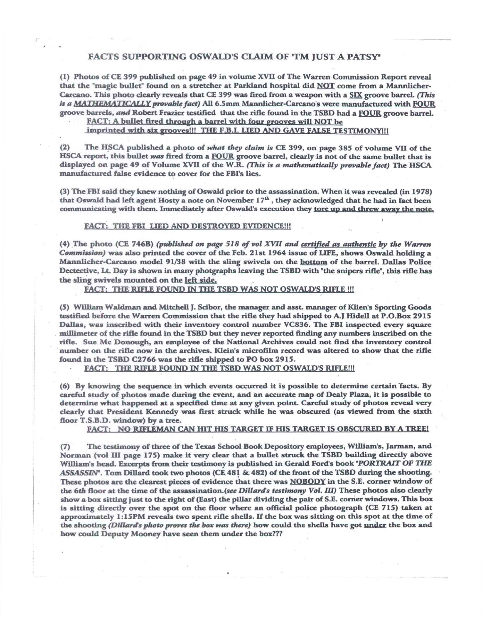## **FACTS SUPPORTING OSWALD'S CLAIM OF "I'M JUST A PATSY'**

**(I) Photos of CE 399 published on page 49 in volume XVII of The Warren Commission Report reveal that the "magic bullet" found on a stretcher at Parkland hospital did NOT come from a Mannlicher-Carcano. This photo clearly reveals that CE 399 was fired from a weapon with a SIX groove barrel.** *(This is a MATIFEMATIGALLY provable fact)* **All 6.5 mm Mannlicher-Carcano's were manufactured with FOUR groove barrels, and Robert Frazier testified that the rifle found in the TSBD had a FOUR groove barrel.** 

**FACT: A bullet fired through a barrel with four grooves will NOT be** 

**imprinted with six grooves!!! THE F.B.I. LIED AND GAVE FALSE TESTIMONY!!)** 

**(2) The HSCA published a photo of** *what they claim is* **CE 399, on page 385 of volume VII of the**  HSCA report, this bullet *was* fired from a FOUR groove barrel, clearly is not of the same bullet that is **displayed on page 49 of Volume XVII of the W.R.** *(This is a mathematically provable fact)* **The HSCA manufactured false evidence to cover for the FBI's lies.** 

**(3) The FBI said they knew nothing of Oswald prior to the assassination. When it was revealed (in 1978)**  that Oswald had left agent Hosty a note on November 17<sup>th</sup>, they acknowledged that he had in fact been **communicating with them. Immediately after Oswald's execution they tore up and threw away the note,** 

## **FACT: THEFBI LIED AND DESTROYED EVIDENCE!!!**

**(4) The photo (CE 746B)** *(published on page 518 of vol XVII and certified as authenticby the Warren Commission)* **was also printed the cover of the Feb. 21st 1964 issue of LIFE, shows Oswald holding a Mannlicher-Carcano model 91/38 with** *the* **sling swivels on the bottom of the barrel. Dallas Police Dectective, Lt. Day is shown in many photgraphs leaving the TSBD with "the snipers rifle", this rifle has the sling swivels mounted on the left side,** 

**FACT: THE RIFLE FOUND IN THE TSBD WAS NOT OSWALD'S RIFLE !II** 

**(5) William Waldman and Mitchell** *J.* **Scibor, the manager and asst. manager of Klien's Sporting Goods testified before the Warren Commission that the rifle they had shipped to A.1 Hidell at P.O.Box 2915 Dallas, was inscribed with their inventory control number VC836. The FBI inspected every square millimeter of the rifle found in the TSBD but they never reported finding any numbers inscribed on the rifle. Sue Mc Donough, an employee of the National Archives could not find the inventory control number on the rifle now in the archives. Klein's microfilm record was altered to show that the rifle found in the TSBD C2766 was the rifle shipped to PO box 2915.** 

FACT: THE RIFLE FOUND IN THE TSBD WAS NOT OSWALD'S RIFLE!!!

**(6) By knowing the sequence in which events occurred it is possible to determine certain facts. By careful study of photos made during the event, and an accurate map of Dealy Plaza, it is possible to determine what happened at a specified time at any given point. Careful study of photos reveal very dearly that President Kennedy was first struck while he was obscured (as viewed from the sixth floor T.S.B.D. window) by a tree.** 

**FACT: NO RIFLEMAN CAN HIT HIS TARGET IF HIS TARGET IS OBSCURED BY A TREE!.** 

**(7) The testimony of three of the Texas School Book Depository employees, Williams, Jarman, and Norman (vol III page 175) make it very clear that a bullet struck the TSBD building directly above William's head. Excerpts from their testimony is published in Gerald Ford's book** *"PORTRAIT OF THE ASSASSIN'.* **Tom Dillard took two photos (CE 481 Sr. 482) of the front of the TSBD during the shooting. These photos are the dearest pieces of evidence that there was NOBODY in the S.E. corner window of the 6th floor at the time of the assassination.(see** *Dillard's testimony Vol. III)* **These photos also clearly show a box sitting just to the right of (East) the pillar dividing the pair of S.E. corner windows. This box is sitting directly over the spot on the floor where an official police photograph (CE 715) taken at approximately I :15PM reveals two spent rifle shells. If the box was sitting on this spot at the time of the shooting** *(Dillards photo proves the box was there)* **how could the shells have got under the box and how could Deputy Mooney have seen them under the box???**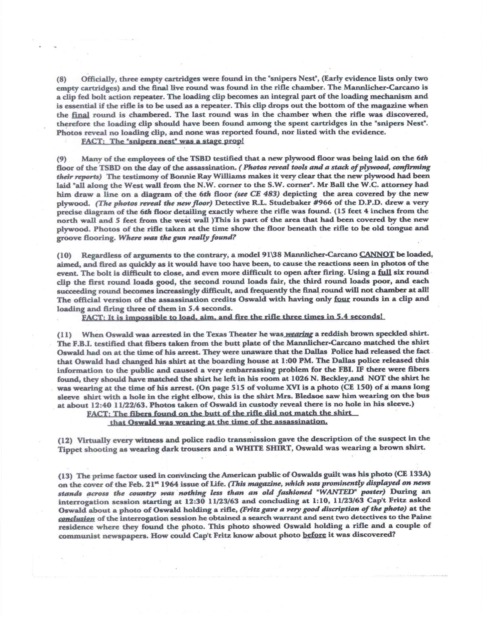**(8) Officially, three empty cartridges were found in the "snipers Nest", (Early evidence lists only two empty cartridges) and the final live round was found in the rifle chamber. The Mannlicher-Carcano is a clip fed bolt action repeater. The loading clip becomes an integral part of the loading mechanism and is essential if the rifle is to be used as a repeater. This dip drops out the bottom of the magazine when the final round is chambered. The last round was in the chamber when the rifle was discovered, therefore the loading dip should have been found among the spent cartridges in the "snipers Nest". Photos reveal no loading dip, and none was reported found, nor listed with the evidence.** 

**FACT: The "snipers nest" was a stage prop!** 

**(9) Many of the employees of the TSBD testified that a new plywood floor was being laid on the 6th floor of the TSBD on the day of the assassination.** *(Photos reveal tools and a stack of plywood, confirming their reports)* **The testimony of Bonnie Ray Williams makes it very clear that the new plywood had been laid "all along the West wall from the N.W. corner to the S.W. corner". Mr Ball the W.C. attorney had him draw a line on a diagram of the 6th floor** *(see CE 483)* **depicting the area covered by the new <sup>p</sup>lywood.** *(The photos reveal the new floor)* **Detective R.L. Studebaker #966 of** *the* **D.P.D. drew a very precise diagram of the 6th floor detailing exactly where the rifle was found. (15 feet 4 inches from the north wall and 5 feet from the west wall )This is part of the area that had been covered by the new <sup>p</sup>lywood. Photos of the rifle taken at the time show the floor beneath the rifle to** *be* **old tongue and groove flooring.** *Where was the gun really found?* 

**(10) Regardless of arguments to the contrary, a model 91138 Mannlicher-Carcano CANNOT** *be* **loaded, aimed, and fired as quickly as it would have too have been, to cause the reactions seen in photos of the event. The bolt is difficult to close, and even more difficult to open after firing. Using a full six round clip the first round loads good, the second round loads fair, the third round loads poor, and each succeeding round becomes increasingly difficult, and frequently the final round will not chamber at all! The official version of the assassination credits Oswald with having only four rounds in a clip and loading and firing three of them in 5.4 seconds.** 

**FACT: It is impossible to load, aim, and fire the rifle three times in 5,4 seconds!** 

(11) When Oswald was arrested in the Texas Theater he was *wearing* a reddish brown speckled shirt. **The F.B.I. testified that fibers taken from the butt plate of the Mannlicher-Carcano matched the shirt Oswald had on at the time of his arrest. They were unaware that the Dallas Police had released the fact that Oswald had changed his shirt at the boarding house at 1:00 PM. The Dallas police released this information to the public and caused a very embarrassing problem for the FBI. IF there were fibers**  found, they should have matched the shirt he left in his room at 1026 N. Beckley, and NOT the shirt he **was wearing at the time of his arrest. (On page 515 of volume XVI is a photo (CE 150) of a mans long sleeve shirt with a hole in the right elbow, this is the shirt Mrs. Bledsoe saw him wearing on the bus at about 12:40 11/22/63. Photos taken of Oswald in custody reveal there is no hole in his** *sleeve.)* 

**FACT: The fibers found on the butt of the rifle did not match the shirt** 

**that Oswald was wearing at the time of the assassination,** 

**(12) Virtually every witness and police radio transmission gave the description of the suspect in the Tippet shooting as wearing dark trousers and a WHITE SHIRT, Oswald was wearing a brown shirt.** 

**(13) The prime factor used in convincing the American public of Oswalds guilt was his photo (CE 133A) on the cover of the Feb. 21" 1964 issue of Life.** *(This magazine, which was prominently displayed on news stands across the country was nothing less than an old fashioned "WANTED" poster)* **During an interrogation session starting at 12:30 11/23/63 and concluding at 1:10, 11/23/63 Cap`t Fritz asked Oswald about a photo of Oswald holding a rifle,** *(Fritz gave a very good discription of the photo)* **at the**  *conclusion* **of the interrogation session he obtained a search warrant and sent two detectives to the Paine residence where they found the photo. This photo showed Oswald holding a rifle and a couple of communist newspapers. How could Cap't Fritz know about photo before it was discovered?**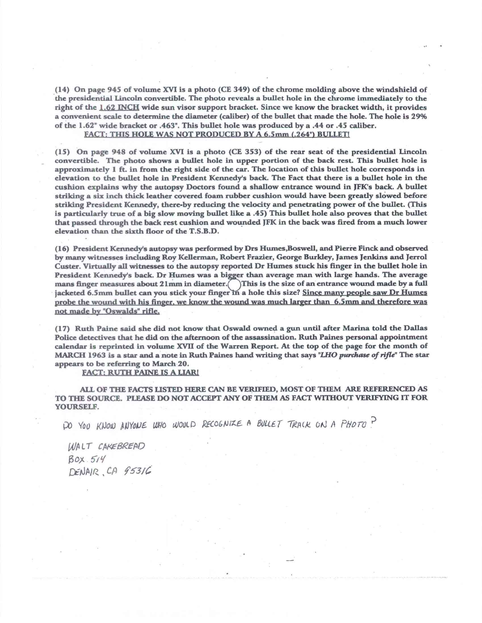**(14) On page 945 of volume XVI is a photo (CE 349) of the chrome molding above the windshield of the presidential Lincoln convertible. The photo reveals a bullet hole in the chrome immediately to the right of the 1.62 INCH wide sun visor support bracket. Since we know the bracket width, it provides a convenient scale to determine the diameter (caliber) of the bullet that made the hole. The hole is 29% of the 1.62" wide bracket or .463". This bullet hole was produced by a .44 or .45 caliber.** 

**FACT: THIS HOLE WAS NQT PRODUCED BY A 6.5mm (.264") BULLET!** 

**(15) On page 948 of volume XVI is a photo (CE 353) of the rear seat of the presidential Lincoln convertible. The photo shows a bullet hole in upper portion of the back rest. This bullet hole is approximately 1 ft. in from the right side of the car. The location of this bullet hole corresponds in elevation to the bullet hole in President Kennedy's back. The Fact that there is a bullet hole in the cushion explains why the autopsy Doctors found a shallow entrance wound in JFK's back. A bullet striking a six inch thick leather covered foam rubber cushion would have been greatly slowed before striking President Kennedy, there-by reducing the velocity and penetrating power of the bullet. (This is particularly true of a big slow moving bullet like a .45) This bullet hole also proves that the bullet that passed through the back rest cushion and wounded JFK in the back was fired from a much lower elevation than the sixth floor of the T.S.B.D.** 

**(16) President Kennedy's autopsy was performed by Drs Humes,Boswell, and Pierre Finck and observed**  by many witnesses including Roy Kellerman, Robert Frazier, George Burkley, James Jenkins and Jerrol **Custer. Virtually all witnesses to the autopsy reported Dr Humes stuck his finger in the bullet hole in**  Luster. Virtually all witnesses to the autopsy reported *Dr* Humes stuck his imger in the bunet hole in<br>President Kennedy's back. Dr Humes was a bigger than average man with large hands. The average mans finger measures about  $21$ mm in diameter. This is the size of an entrance wound made by a full **jacketed** 6.5mm **bullet can you stick your finger n a hole this size? Since many people saw Dr Hurnel probe the wound with his finger. we know the wound was much larger than 6.5 mm and therefore was not made by "Oswalds" rifle.** 

**(17) Ruth Paine said she did not know that Oswald owned** a **gun until after Marina told the Dallas Police detectives that he did on the afternoon of the assassination. Ruth Paines personal appointment calendar is reprinted in volume XVII of the Warren Report. At the top of the page for the month of MARCH 1963 is a star and a note in Ruth Paines hand writing that says** *"LHO purchase of rifle"* **The star appears to be referring to March 20.** 

**FACT: RUTH PAINE IS A LIAR!** 

**ALL OF THE FACTS LISTED HERE CAN BE VERIFIED, MOST OF THEM ARE REFERENCED AS TO THE SOURCE. PLEASE DO NOT ACCEPT ANY OF THEM AS FACT WITHOUT VERIFYING IT FOR YOURSELF.** 

PO YOU KNOW ANYONE WHO WOULD RECOGNIZE A BULLET TRACK ON A PHOTO?

WALT CAKEBREAD *j30x*  DENAIR, CA 95316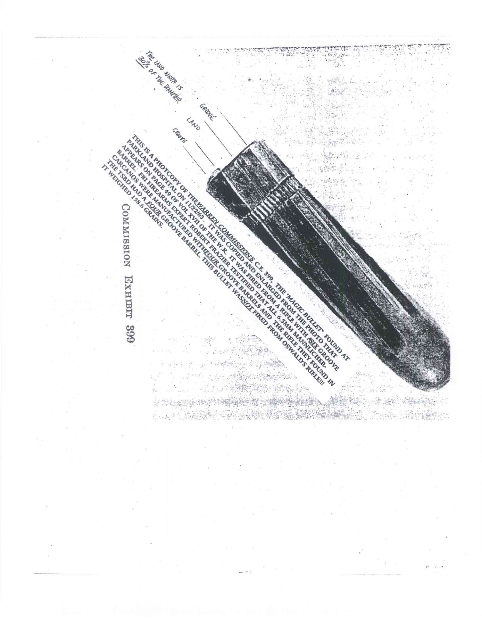